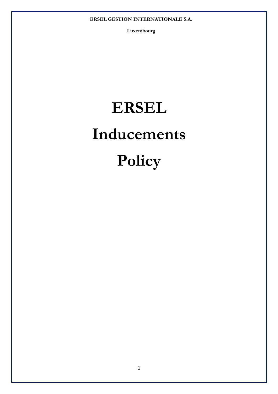**Luxembourg** 

# **ERSEL Inducements Policy**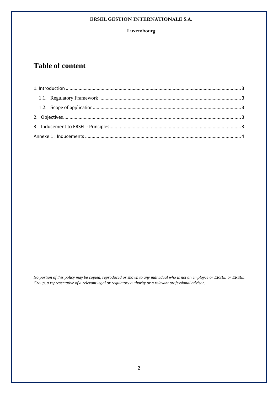#### **Luxembourg**

# **Table of content**

*No portion of this policy may be copied, reproduced or shown to any individual who is not an employee or ERSEL or ERSEL Group, a representative of a relevant legal or regulatory authority or a relevant professional advisor.*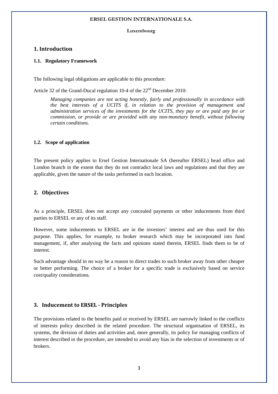#### **Luxembourg**

# **1. Introduction**

#### **1.1. Regulatory Framework**

The following legal obligations are applicable to this procedure:

Article 32 of the Grand-Ducal regulation 10-4 of the  $22<sup>nd</sup>$  December 2010:

*Managing companies are not acting honestly, fairly and professionally in accordance with the best interests of a UCITS if, in relation to the provision of management and administration services of the investments for the UCITS, they pay or are paid any fee or commission, or provide or are provided with any non-monetary benefit, without following certain conditions.* 

#### **1.2. Scope of application**

The present policy applies to Ersel Gestion Internationale SA (hereafter ERSEL) head office and London branch in the extent that they do not contradict local laws and regulations and that they are applicable, given the nature of the tasks performed in each location.

# **2. Objectives**

As a principle, ERSEL does not accept any concealed payments or other inducements from third parties to ERSEL or any of its staff.

However, some inducements to ERSEL are in the investors' interest and are thus used for this purpose. This applies, for example, to broker research which may be incorporated into fund management, if, after analysing the facts and opinions stated therein, ERSEL finds them to be of interest.

Such advantage should in no way be a reason to direct trades to such broker away from other cheaper or better performing. The choice of a broker for a specific trade is exclusively based on service cost/quality considerations.

#### **3. Inducement to ERSEL - Principles**

The provisions related to the benefits paid or received by ERSEL are narrowly linked to the conflicts of interests policy described in the related procedure. The structural organisation of ERSEL, its systems, the division of duties and activities and, more generally, its policy for managing conflicts of interest described in the procedure, are intended to avoid any bias in the selection of investments or of brokers.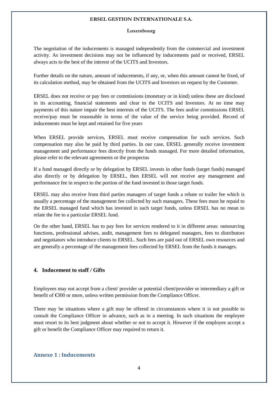#### **Luxembourg**

The negotiation of the inducements is managed independently from the commercial and investment activity. As investment decisions may not be influenced by inducements paid or received, ERSEL always acts to the best of the interest of the UCITS and Investors.

Further details on the nature, amount of inducements, if any, or, when this amount cannot be fixed, of its calculation method, may be obtained from the UCITS and Investors on request by the Customer.

ERSEL does not receive or pay fees or commissions (monetary or in kind) unless these are disclosed in its accounting, financial statements and clear to the UCITS and Investors. At no time may payments of this nature impair the best interests of the UCITS. The fees and/or commissions ERSEL receive/pay must be reasonable in terms of the value of the service being provided. Record of inducements must be kept and retained for five years

When ERSEL provide services, ERSEL must receive compensation for such services. Such compensation may also be paid by third parties. In our case, ERSEL generally receive investment management and performance fees directly from the funds managed. For more detailed information, please refer to the relevant agreements or the prospectus

If a fund managed directly or by delegation by ERSEL invests in other funds (target funds) managed also directly or by delegation by ERSEL, then ERSEL will not receive any management and performance fee in respect to the portion of the fund invested in those target funds.

ERSEL may also receive from third parties managers of target funds a rebate or trailer fee which is usually a percentage of the management fee collected by such managers. These fees must be repaid to the ERSEL managed fund which has invested in such target funds, unless ERSEL has no mean to relate the fee to a particular ERSEL fund.

On the other hand, ERSEL has to pay fees for services rendered to it in different areas: outsourcing functions, professional advises, audit, management fees to delegated managers, fees to distributors and negotiators who introduce clients to ERSEL. Such fees are paid out of ERSEL own resources and are generally a percentage of the management fees collected by ERSEL from the funds it manages.

# **4. Inducement to staff / Gifts**

Employees may not accept from a client/ provider or potential client/provider or intermediary a gift or benefit of  $\epsilon$ 300 or more, unless written permission from the Compliance Officer.

There may be situations where a gift may be offered in circumstances where it is not possible to consult the Compliance Officer in advance, such as in a meeting. In such situations the employee must resort to its best judgment about whether or not to accept it. However if the employee accept a gift or benefit the Compliance Officer may required to return it.

#### **Annexe 1 : Inducements**